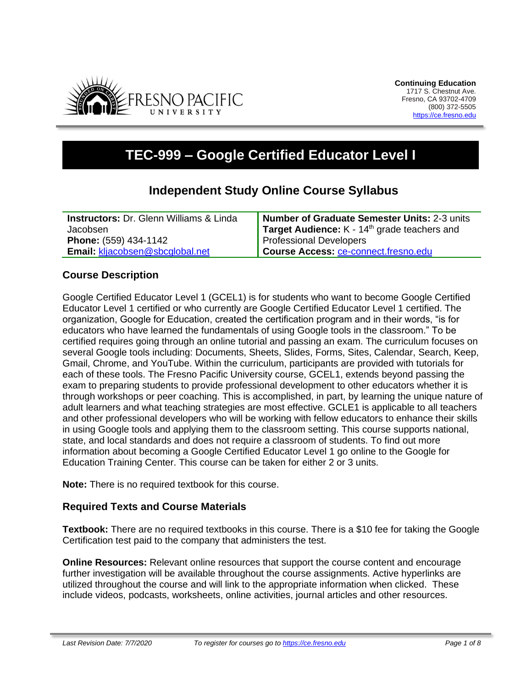

# **TEC-999 – Google Certified Educator Level I**

## **Independent Study Online Course Syllabus**

| <b>Instructors: Dr. Glenn Williams &amp; Linda</b> | Number of Graduate Semester Units: 2-3 units          |
|----------------------------------------------------|-------------------------------------------------------|
| Jacobsen                                           | <b>Target Audience:</b> $K - 14th$ grade teachers and |
| <b>Phone:</b> (559) 434-1142                       | <b>Professional Developers</b>                        |
| <b>Email: kljacobsen@sbcglobal.net</b>             | Course Access: ce-connect.fresno.edu                  |

#### **Course Description**

Google Certified Educator Level 1 (GCEL1) is for students who want to become Google Certified Educator Level 1 certified or who currently are Google Certified Educator Level 1 certified. The organization, Google for Education, created the certification program and in their words, "is for educators who have learned the fundamentals of using Google tools in the classroom." To be certified requires going through an online tutorial and passing an exam. The curriculum focuses on several Google tools including: Documents, Sheets, Slides, Forms, Sites, Calendar, Search, Keep, Gmail, Chrome, and YouTube. Within the curriculum, participants are provided with tutorials for each of these tools. The Fresno Pacific University course, GCEL1, extends beyond passing the exam to preparing students to provide professional development to other educators whether it is through workshops or peer coaching. This is accomplished, in part, by learning the unique nature of adult learners and what teaching strategies are most effective. GCLE1 is applicable to all teachers and other professional developers who will be working with fellow educators to enhance their skills in using Google tools and applying them to the classroom setting. This course supports national, state, and local standards and does not require a classroom of students. To find out more information about becoming a Google Certified Educator Level 1 go online to the Google for Education Training Center. This course can be taken for either 2 or 3 units.

**Note:** There is no required textbook for this course.

#### **Required Texts and Course Materials**

**Textbook:** There are no required textbooks in this course. There is a \$10 fee for taking the Google Certification test paid to the company that administers the test.

**Online Resources:** Relevant online resources that support the course content and encourage further investigation will be available throughout the course assignments. Active hyperlinks are utilized throughout the course and will link to the appropriate information when clicked. These include videos, podcasts, worksheets, online activities, journal articles and other resources.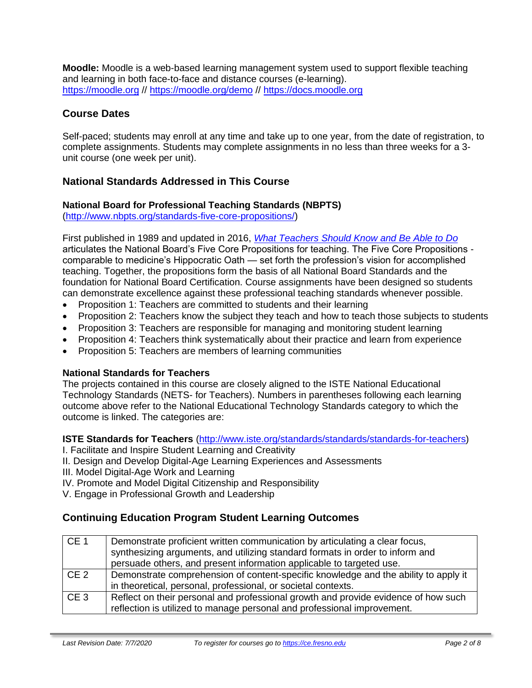**Moodle:** Moodle is a web-based learning management system used to support flexible teaching and learning in both face-to-face and distance courses (e-learning). [https://moodle.org](https://moodle.org/) // <https://moodle.org/demo> // [https://docs.moodle.org](https://docs.moodle.org/)

#### **Course Dates**

Self-paced; students may enroll at any time and take up to one year, from the date of registration, to complete assignments. Students may complete assignments in no less than three weeks for a 3 unit course (one week per unit).

#### **National Standards Addressed in This Course**

#### **National Board for Professional Teaching Standards (NBPTS)**

[\(http://www.nbpts.org/standards-five-core-propositions/\)](http://www.nbpts.org/standards-five-core-propositions/)

First published in 1989 and updated in 2016, *[What Teachers Should Know and Be Able to Do](http://www.accomplishedteacher.org/)* articulates the National Board's Five Core Propositions for teaching. The Five Core Propositions comparable to medicine's Hippocratic Oath — set forth the profession's vision for accomplished teaching. Together, the propositions form the basis of all National Board Standards and the foundation for National Board Certification. Course assignments have been designed so students can demonstrate excellence against these professional teaching standards whenever possible.

- Proposition 1: Teachers are committed to students and their learning
- Proposition 2: Teachers know the subject they teach and how to teach those subjects to students
- Proposition 3: Teachers are responsible for managing and monitoring student learning
- Proposition 4: Teachers think systematically about their practice and learn from experience
- Proposition 5: Teachers are members of learning communities

#### **National Standards for Teachers**

The projects contained in this course are closely aligned to the ISTE National Educational Technology Standards (NETS- for Teachers). Numbers in parentheses following each learning outcome above refer to the National Educational Technology Standards category to which the outcome is linked. The categories are:

**ISTE Standards for Teachers** [\(http://www.iste.org/standards/standards/standards-for-teachers\)](http://www.iste.org/standards/standards/standards-for-teachers)

I. Facilitate and Inspire Student Learning and Creativity

II. Design and Develop Digital-Age Learning Experiences and Assessments

III. Model Digital-Age Work and Learning

IV. Promote and Model Digital Citizenship and Responsibility

V. Engage in Professional Growth and Leadership

#### **Continuing Education Program Student Learning Outcomes**

| CE <sub>1</sub> | Demonstrate proficient written communication by articulating a clear focus,<br>synthesizing arguments, and utilizing standard formats in order to inform and<br>persuade others, and present information applicable to targeted use. |
|-----------------|--------------------------------------------------------------------------------------------------------------------------------------------------------------------------------------------------------------------------------------|
| CE <sub>2</sub> | Demonstrate comprehension of content-specific knowledge and the ability to apply it<br>in theoretical, personal, professional, or societal contexts.                                                                                 |
| CE <sub>3</sub> | Reflect on their personal and professional growth and provide evidence of how such<br>reflection is utilized to manage personal and professional improvement.                                                                        |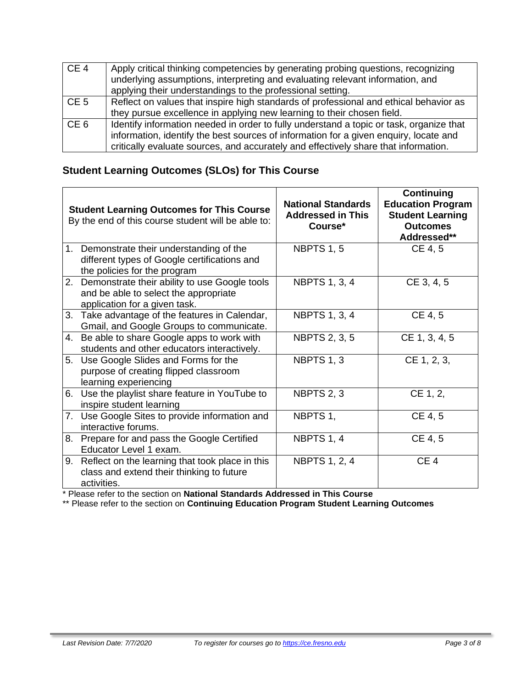| CE <sub>4</sub> | Apply critical thinking competencies by generating probing questions, recognizing<br>underlying assumptions, interpreting and evaluating relevant information, and<br>applying their understandings to the professional setting.                                        |
|-----------------|-------------------------------------------------------------------------------------------------------------------------------------------------------------------------------------------------------------------------------------------------------------------------|
| CE <sub>5</sub> | Reflect on values that inspire high standards of professional and ethical behavior as<br>they pursue excellence in applying new learning to their chosen field.                                                                                                         |
| CE <sub>6</sub> | Identify information needed in order to fully understand a topic or task, organize that<br>information, identify the best sources of information for a given enquiry, locate and<br>critically evaluate sources, and accurately and effectively share that information. |

## **Student Learning Outcomes (SLOs) for This Course**

|    | <b>Student Learning Outcomes for This Course</b><br>By the end of this course student will be able to:                     | <b>National Standards</b><br><b>Addressed in This</b><br>Course* | <b>Continuing</b><br><b>Education Program</b><br><b>Student Learning</b><br><b>Outcomes</b><br>Addressed** |
|----|----------------------------------------------------------------------------------------------------------------------------|------------------------------------------------------------------|------------------------------------------------------------------------------------------------------------|
|    | 1. Demonstrate their understanding of the<br>different types of Google certifications and<br>the policies for the program  | <b>NBPTS 1, 5</b>                                                | CE 4, 5                                                                                                    |
|    | 2. Demonstrate their ability to use Google tools<br>and be able to select the appropriate<br>application for a given task. | <b>NBPTS 1, 3, 4</b>                                             | CE 3, 4, 5                                                                                                 |
|    | 3. Take advantage of the features in Calendar,<br>Gmail, and Google Groups to communicate.                                 | <b>NBPTS 1, 3, 4</b>                                             | CE 4, 5                                                                                                    |
|    | 4. Be able to share Google apps to work with<br>students and other educators interactively.                                | <b>NBPTS 2, 3, 5</b>                                             | CE 1, 3, 4, 5                                                                                              |
| 5. | Use Google Slides and Forms for the<br>purpose of creating flipped classroom<br>learning experiencing                      | NBPTS 1, 3                                                       | CE 1, 2, 3,                                                                                                |
| 6. | Use the playlist share feature in YouTube to<br>inspire student learning                                                   | NBPTS 2, 3                                                       | CE 1, 2,                                                                                                   |
|    | 7. Use Google Sites to provide information and<br>interactive forums.                                                      | NBPTS 1,                                                         | CE 4, 5                                                                                                    |
|    | 8. Prepare for and pass the Google Certified<br>Educator Level 1 exam.                                                     | NBPTS 1, 4                                                       | CE 4, 5                                                                                                    |
|    | 9. Reflect on the learning that took place in this<br>class and extend their thinking to future<br>activities.             | <b>NBPTS 1, 2, 4</b>                                             | CE <sub>4</sub>                                                                                            |

\* Please refer to the section on **National Standards Addressed in This Course**

\*\* Please refer to the section on **Continuing Education Program Student Learning Outcomes**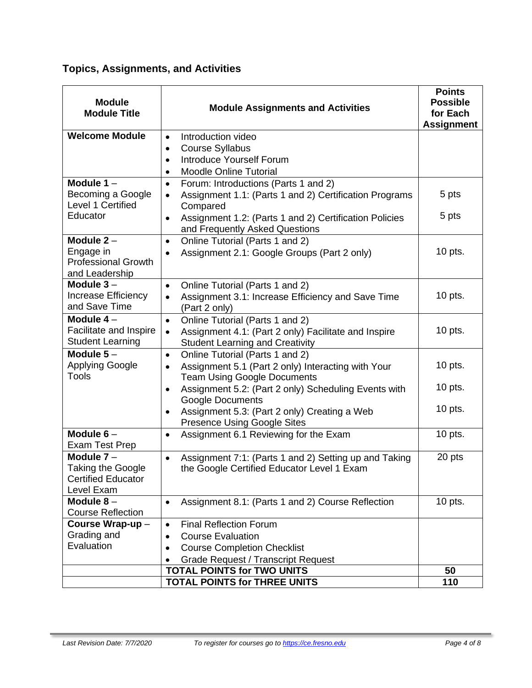## **Topics, Assignments, and Activities**

| <b>Module</b><br><b>Module Title</b>                                                | <b>Module Assignments and Activities</b>                                                                         | <b>Points</b><br><b>Possible</b><br>for Each<br><b>Assignment</b> |
|-------------------------------------------------------------------------------------|------------------------------------------------------------------------------------------------------------------|-------------------------------------------------------------------|
| <b>Welcome Module</b>                                                               | Introduction video<br>$\bullet$                                                                                  |                                                                   |
|                                                                                     | <b>Course Syllabus</b><br>$\bullet$<br><b>Introduce Yourself Forum</b><br>$\bullet$                              |                                                                   |
|                                                                                     | <b>Moodle Online Tutorial</b>                                                                                    |                                                                   |
| Module $1 -$                                                                        | Forum: Introductions (Parts 1 and 2)<br>$\bullet$                                                                |                                                                   |
| Becoming a Google<br>Level 1 Certified                                              | Assignment 1.1: (Parts 1 and 2) Certification Programs<br>$\bullet$<br>Compared                                  | 5 pts                                                             |
| Educator                                                                            | Assignment 1.2: (Parts 1 and 2) Certification Policies<br>$\bullet$<br>and Frequently Asked Questions            | 5 pts                                                             |
| Module $2 -$                                                                        | Online Tutorial (Parts 1 and 2)<br>$\bullet$                                                                     |                                                                   |
| Engage in<br><b>Professional Growth</b><br>and Leadership                           | Assignment 2.1: Google Groups (Part 2 only)<br>$\bullet$                                                         | $10$ pts.                                                         |
| Module $3-$                                                                         | Online Tutorial (Parts 1 and 2)<br>$\bullet$                                                                     |                                                                   |
| Increase Efficiency<br>and Save Time                                                | Assignment 3.1: Increase Efficiency and Save Time<br>(Part 2 only)                                               | $10$ pts.                                                         |
| Module 4-                                                                           | Online Tutorial (Parts 1 and 2)<br>$\bullet$                                                                     |                                                                   |
| Facilitate and Inspire                                                              | Assignment 4.1: (Part 2 only) Facilitate and Inspire<br>$\bullet$                                                | $10$ pts.                                                         |
| <b>Student Learning</b>                                                             | <b>Student Learning and Creativity</b>                                                                           |                                                                   |
| Module $5-$<br><b>Applying Google</b>                                               | Online Tutorial (Parts 1 and 2)<br>$\bullet$                                                                     | $10$ pts.                                                         |
| <b>Tools</b>                                                                        | Assignment 5.1 (Part 2 only) Interacting with Your<br>$\bullet$<br><b>Team Using Google Documents</b>            |                                                                   |
|                                                                                     | Assignment 5.2: (Part 2 only) Scheduling Events with<br>$\bullet$<br><b>Google Documents</b>                     | 10 pts.                                                           |
|                                                                                     | Assignment 5.3: (Part 2 only) Creating a Web<br><b>Presence Using Google Sites</b>                               | $10$ pts.                                                         |
| Module $6-$<br><b>Exam Test Prep</b>                                                | Assignment 6.1 Reviewing for the Exam<br>$\bullet$                                                               | $10$ pts.                                                         |
| Module $7 -$<br><b>Taking the Google</b><br><b>Certified Educator</b><br>Level Exam | Assignment 7:1: (Parts 1 and 2) Setting up and Taking<br>$\bullet$<br>the Google Certified Educator Level 1 Exam | 20 pts                                                            |
| Module $8-$                                                                         | Assignment 8.1: (Parts 1 and 2) Course Reflection<br>$\bullet$                                                   | $10$ pts.                                                         |
| <b>Course Reflection</b>                                                            |                                                                                                                  |                                                                   |
| Course Wrap-up-                                                                     | <b>Final Reflection Forum</b><br>$\bullet$                                                                       |                                                                   |
| Grading and<br>Evaluation                                                           | <b>Course Evaluation</b><br>$\bullet$                                                                            |                                                                   |
|                                                                                     | <b>Course Completion Checklist</b><br>$\bullet$                                                                  |                                                                   |
|                                                                                     | <b>Grade Request / Transcript Request</b><br><b>TOTAL POINTS for TWO UNITS</b>                                   | 50                                                                |
|                                                                                     | <b>TOTAL POINTS for THREE UNITS</b>                                                                              | 110                                                               |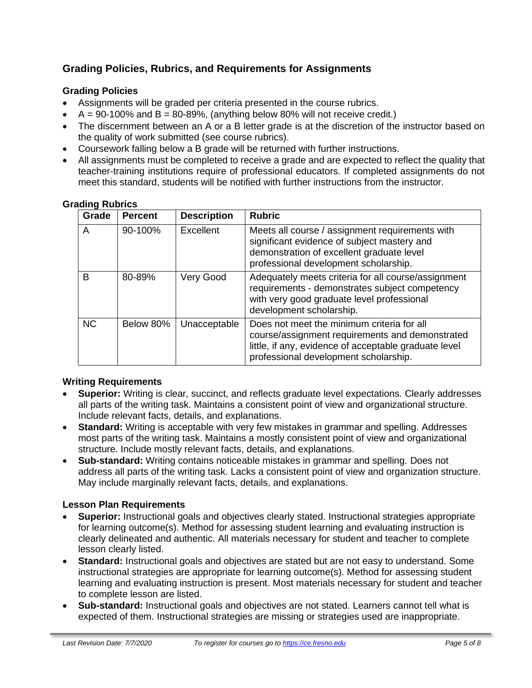### **Grading Policies, Rubrics, and Requirements for Assignments**

#### **Grading Policies**

- Assignments will be graded per criteria presented in the course rubrics.
- $A = 90-100\%$  and  $B = 80-89\%$ , (anything below 80% will not receive credit.)
- The discernment between an A or a B letter grade is at the discretion of the instructor based on the quality of work submitted (see course rubrics).
- Coursework falling below a B grade will be returned with further instructions.
- All assignments must be completed to receive a grade and are expected to reflect the quality that teacher-training institutions require of professional educators. If completed assignments do not meet this standard, students will be notified with further instructions from the instructor.

| Grade     | <b>Percent</b> | <b>Description</b> | <b>Rubric</b>                                                                                                                                                                                   |
|-----------|----------------|--------------------|-------------------------------------------------------------------------------------------------------------------------------------------------------------------------------------------------|
| A         | 90-100%        | Excellent          | Meets all course / assignment requirements with<br>significant evidence of subject mastery and<br>demonstration of excellent graduate level<br>professional development scholarship.            |
| В         | 80-89%         | Very Good          | Adequately meets criteria for all course/assignment<br>requirements - demonstrates subject competency<br>with very good graduate level professional<br>development scholarship.                 |
| <b>NC</b> | Below 80%      | Unacceptable       | Does not meet the minimum criteria for all<br>course/assignment requirements and demonstrated<br>little, if any, evidence of acceptable graduate level<br>professional development scholarship. |

#### **Grading Rubrics**

#### **Writing Requirements**

- **Superior:** Writing is clear, succinct, and reflects graduate level expectations. Clearly addresses all parts of the writing task. Maintains a consistent point of view and organizational structure. Include relevant facts, details, and explanations.
- **Standard:** Writing is acceptable with very few mistakes in grammar and spelling. Addresses most parts of the writing task. Maintains a mostly consistent point of view and organizational structure. Include mostly relevant facts, details, and explanations.
- **Sub-standard:** Writing contains noticeable mistakes in grammar and spelling. Does not address all parts of the writing task. Lacks a consistent point of view and organization structure. May include marginally relevant facts, details, and explanations.

#### **Lesson Plan Requirements**

- **Superior:** Instructional goals and objectives clearly stated. Instructional strategies appropriate for learning outcome(s). Method for assessing student learning and evaluating instruction is clearly delineated and authentic. All materials necessary for student and teacher to complete lesson clearly listed.
- **Standard:** Instructional goals and objectives are stated but are not easy to understand. Some instructional strategies are appropriate for learning outcome(s). Method for assessing student learning and evaluating instruction is present. Most materials necessary for student and teacher to complete lesson are listed.
- **Sub-standard:** Instructional goals and objectives are not stated. Learners cannot tell what is expected of them. Instructional strategies are missing or strategies used are inappropriate.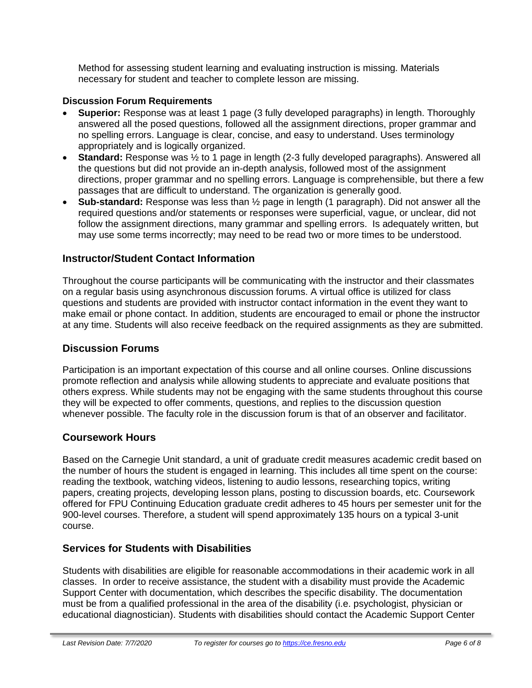Method for assessing student learning and evaluating instruction is missing. Materials necessary for student and teacher to complete lesson are missing.

#### **Discussion Forum Requirements**

- **Superior:** Response was at least 1 page (3 fully developed paragraphs) in length. Thoroughly answered all the posed questions, followed all the assignment directions, proper grammar and no spelling errors. Language is clear, concise, and easy to understand. Uses terminology appropriately and is logically organized.
- **Standard:** Response was  $\frac{1}{2}$  to 1 page in length (2-3 fully developed paragraphs). Answered all the questions but did not provide an in-depth analysis, followed most of the assignment directions, proper grammar and no spelling errors. Language is comprehensible, but there a few passages that are difficult to understand. The organization is generally good.
- **Sub-standard:** Response was less than ½ page in length (1 paragraph). Did not answer all the required questions and/or statements or responses were superficial, vague, or unclear, did not follow the assignment directions, many grammar and spelling errors. Is adequately written, but may use some terms incorrectly; may need to be read two or more times to be understood.

#### **Instructor/Student Contact Information**

Throughout the course participants will be communicating with the instructor and their classmates on a regular basis using asynchronous discussion forums. A virtual office is utilized for class questions and students are provided with instructor contact information in the event they want to make email or phone contact. In addition, students are encouraged to email or phone the instructor at any time. Students will also receive feedback on the required assignments as they are submitted.

#### **Discussion Forums**

Participation is an important expectation of this course and all online courses. Online discussions promote reflection and analysis while allowing students to appreciate and evaluate positions that others express. While students may not be engaging with the same students throughout this course they will be expected to offer comments, questions, and replies to the discussion question whenever possible. The faculty role in the discussion forum is that of an observer and facilitator.

#### **Coursework Hours**

Based on the Carnegie Unit standard, a unit of graduate credit measures academic credit based on the number of hours the student is engaged in learning. This includes all time spent on the course: reading the textbook, watching videos, listening to audio lessons, researching topics, writing papers, creating projects, developing lesson plans, posting to discussion boards, etc. Coursework offered for FPU Continuing Education graduate credit adheres to 45 hours per semester unit for the 900-level courses. Therefore, a student will spend approximately 135 hours on a typical 3-unit course.

#### **Services for Students with Disabilities**

Students with disabilities are eligible for reasonable accommodations in their academic work in all classes. In order to receive assistance, the student with a disability must provide the Academic Support Center with documentation, which describes the specific disability. The documentation must be from a qualified professional in the area of the disability (i.e. psychologist, physician or educational diagnostician). Students with disabilities should contact the Academic Support Center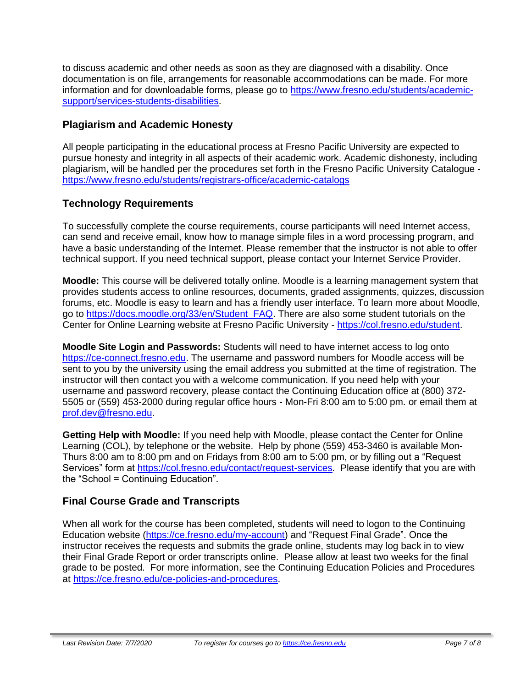to discuss academic and other needs as soon as they are diagnosed with a disability. Once documentation is on file, arrangements for reasonable accommodations can be made. For more information and for downloadable forms, please go to [https://www.fresno.edu/students/academic](https://www.fresno.edu/students/academic-support/services-students-disabilities)[support/services-students-disabilities.](https://www.fresno.edu/students/academic-support/services-students-disabilities)

#### **Plagiarism and Academic Honesty**

All people participating in the educational process at Fresno Pacific University are expected to pursue honesty and integrity in all aspects of their academic work. Academic dishonesty, including plagiarism, will be handled per the procedures set forth in the Fresno Pacific University Catalogue <https://www.fresno.edu/students/registrars-office/academic-catalogs>

#### **Technology Requirements**

To successfully complete the course requirements, course participants will need Internet access, can send and receive email, know how to manage simple files in a word processing program, and have a basic understanding of the Internet. Please remember that the instructor is not able to offer technical support. If you need technical support, please contact your Internet Service Provider.

**Moodle:** This course will be delivered totally online. Moodle is a learning management system that provides students access to online resources, documents, graded assignments, quizzes, discussion forums, etc. Moodle is easy to learn and has a friendly user interface. To learn more about Moodle, go to [https://docs.moodle.org/33/en/Student\\_FAQ.](https://docs.moodle.org/33/en/Student_FAQ) There are also some student tutorials on the Center for Online Learning website at Fresno Pacific University - [https://col.fresno.edu/student.](https://col.fresno.edu/student)

**Moodle Site Login and Passwords:** Students will need to have internet access to log onto [https://ce-connect.fresno.edu.](https://ce-connect.fresno.edu/) The username and password numbers for Moodle access will be sent to you by the university using the email address you submitted at the time of registration. The instructor will then contact you with a welcome communication. If you need help with your username and password recovery, please contact the Continuing Education office at (800) 372- 5505 or (559) 453-2000 during regular office hours - Mon-Fri 8:00 am to 5:00 pm. or email them at [prof.dev@fresno.edu.](mailto:prof.dev@fresno.edu)

**Getting Help with Moodle:** If you need help with Moodle, please contact the Center for Online Learning (COL), by telephone or the website. Help by phone (559) 453-3460 is available Mon-Thurs 8:00 am to 8:00 pm and on Fridays from 8:00 am to 5:00 pm, or by filling out a "Request Services" form at [https://col.fresno.edu/contact/request-services.](https://col.fresno.edu/contact/request-services) Please identify that you are with the "School = Continuing Education".

#### **Final Course Grade and Transcripts**

When all work for the course has been completed, students will need to logon to the Continuing Education website [\(https://ce.fresno.edu/my-account\)](https://ce.fresno.edu/my-account) and "Request Final Grade". Once the instructor receives the requests and submits the grade online, students may log back in to view their Final Grade Report or order transcripts online. Please allow at least two weeks for the final grade to be posted. For more information, see the Continuing Education Policies and Procedures at [https://ce.fresno.edu/ce-policies-and-procedures.](https://ce.fresno.edu/ce-policies-and-procedures)